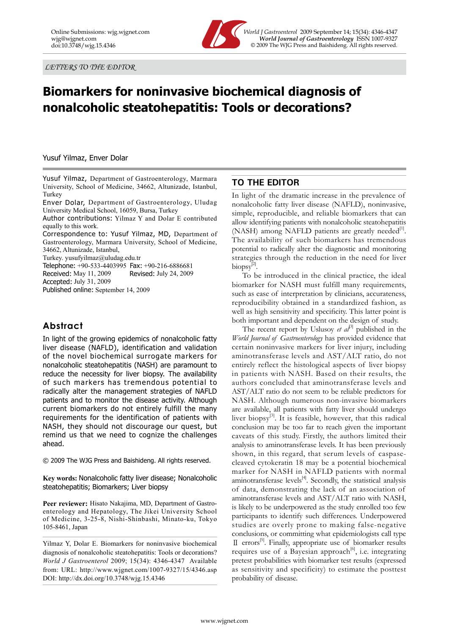*LETTERS TO THE EDITOR*



Online Submissions: wjg.wjgnet.com *World J Gastroenterol* 2009 September 14; 15(34): 4346-4347 wig@wignet.com *World Journal of Gastroenterology* ISSN 1007-9327<br>doi:10.3748/wig.15.4346 **COMPUS** © 2009 The WJG Press and Baishideng. All rights reserved.  $©$  2009 The WJG Press and Baishideng. All rights reserved.

## **Biomarkers for noninvasive biochemical diagnosis of nonalcoholic steatohepatitis: Tools or decorations?**

Yusuf Yilmaz, Enver Dolar

Yusuf Yilmaz, Department of Gastroenterology, Marmara University, School of Medicine, 34662, Altunizade, Istanbul, Turkey

Enver Dolar, Department of Gastroenterology, Uludag University Medical School, 16059, Bursa, Turkey

Author contributions: Yilmaz Y and Dolar E contributed equally to this work.

Correspondence to: Yusuf Yilmaz, MD, Department of Gastroenterology, Marmara University, School of Medicine, 34662, Altunizade, Istanbul,

Turkey. yusufyilmaz@uludag.edu.tr

Telephone: +90-533-4403995 Fax: +90-216-6886681 Received: May 11, 2009 Revised: July 24, 2009

Accepted: July 31, 2009

Published online: September 14, 2009

## **Abstract**

In light of the growing epidemics of nonalcoholic fatty liver disease (NAFLD), identification and validation of the novel biochemical surrogate markers for nonalcoholic steatohepatitis (NASH) are paramount to reduce the necessity for liver biopsy. The availability of such markers has tremendous potential to radically alter the management strategies of NAFLD patients and to monitor the disease activity. Although current biomarkers do not entirely fulfill the many requirements for the identification of patients with NASH, they should not discourage our quest, but remind us that we need to cognize the challenges ahead.

© 2009 The WJG Press and Baishideng. All rights reserved.

**Key words:** Nonalcoholic fatty liver disease; Nonalcoholic steatohepatitis; Biomarkers; Liver biopsy

Peer reviewer: Hisato Nakajima, MD, Department of Gastroenterology and Hepatology, The Jikei University School of Medicine, 3-25-8, Nishi-Shinbashi, Minato-ku, Tokyo 105-8461, Japan

Yilmaz Y, Dolar E. Biomarkers for noninvasive biochemical diagnosis of nonalcoholic steatohepatitis: Tools or decorations? *World J Gastroenterol* 2009; 15(34): 4346-4347 Available from: URL: http://www.wjgnet.com/1007-9327/15/4346.asp DOI: http://dx.doi.org/10.3748/wjg.15.4346

## **TO THE EDITOR**

In light of the dramatic increase in the prevalence of nonalcoholic fatty liver disease (NAFLD), noninvasive, simple, reproducible, and reliable biomarkers that can allow identifying patients with nonalcoholic steatohepatitis (NASH) among NAFLD patients are greatly needed $[1]$ . The availability of such biomarkers has tremendous potential to radically alter the diagnostic and monitoring strategies through the reduction in the need for liver biopsy<sup>[1]</sup>

To be introduced in the clinical practice, the ideal biomarker for NASH must fulfill many requirements, such as ease of interpretation by clinicians, accurateness, reproducibility obtained in a standardized fashion, as well as high sensitivity and specificity. This latter point is both important and dependent on the design of study.

The recent report by Uslusoy  $et \, al^{3}$  published in the *World Journal of Gastroenterology* has provided evidence that certain noninvasive markers for liver injury, including aminotransferase levels and AST/ALT ratio, do not entirely reflect the histological aspects of liver biopsy in patients with NASH. Based on their results, the authors concluded that aminotransferase levels and AST/ALT ratio do not seem to be reliable predictors for NASH. Although numerous non-invasive biomarkers are available, all patients with fatty liver should undergo liver biopsy[3]. It is feasible, however, that this radical conclusion may be too far to reach given the important caveats of this study. Firstly, the authors limited their analysis to aminotransferase levels. It has been previously shown, in this regard, that serum levels of caspasecleaved cytokeratin 18 may be a potential biochemical marker for NASH in NAFLD patients with normal aminotransferase levels $^{[4]}$ . Secondly, the statistical analysis of data, demonstrating the lack of an association of aminotransferase levels and AST/ALT ratio with NASH, is likely to be underpowered as the study enrolled too few participants to identify such differences. Underpowered studies are overly prone to making false-negative conclusions, or committing what epidemiologists call type Ⅱ errors[5]. Finally, appropriate use of biomarker results requires use of a Bayesian approach<sup>[6]</sup>, i.e. integrating pretest probabilities with biomarker test results (expressed as sensitivity and specificity) to estimate the posttest probability of disease.